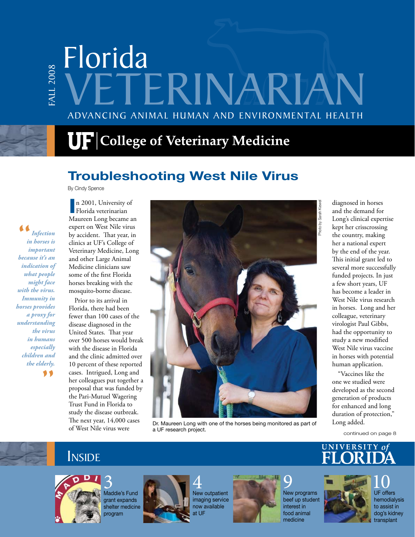# Florida ALL 2008 FALL 2008 TERINAR Advancing Animal Human and Environmental Health

# $\mathbf{U}\mathbf{F}$  College of Veterinary Medicine

# **Troubleshooting West Nile Virus**

By Cindy Spence

" *because it's an Infection in horses is important indication of what people might face with the virus. Immunity in horses provides a proxy for understanding the virus in humans especially children and the elderly.* "

**I** Florida veterinarian n 2001, University of Maureen Long became an expert on West Nile virus by accident. That year, in clinics at UF's College of Veterinary Medicine, Long and other Large Animal Medicine clinicians saw some of the first Florida horses breaking with the mosquito-borne disease.

Prior to its arrival in Florida, there had been fewer than 100 cases of the disease diagnosed in the United States. That year over 500 horses would break with the disease in Florida and the clinic admitted over 10 percent of these reported cases. Intrigued, Long and her colleagues put together a proposal that was funded by the Pari-Mutuel Wagering Trust Fund in Florida to study the disease outbreak. The next year, 14,000 cases of West Nile virus were



Dr. Maureen Long with one of the horses being monitored as part of Long added. a UF research project.

diagnosed in horses and the demand for Long's clinical expertise kept her crisscrossing the country, making her a national expert by the end of the year. This initial grant led to several more successfully funded projects. In just a few short years, UF has become a leader in West Nile virus research in horses. Long and her colleague, veterinary virologist Paul Gibbs, had the opportunity to study a new modified West Nile virus vaccine in horses with potential human application.

"Vaccines like the one we studied were developed as the second generation of products for enhanced and long duration of protection,"

continued on page 8

# Inside



3 Maddie's Fund grant expands shelter medicine program



4 New outpatient imaging service now available at UF



9 New programs beef up student interest in food animal medicine





**FLORIDA VETERINARIAN 1** transplant 10 UF offers hemodialysis to assist in dog's kidney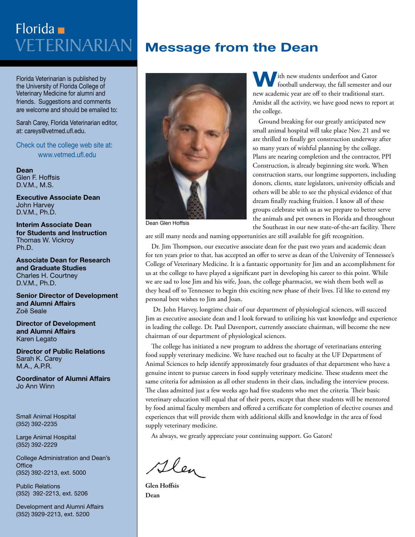# Veterinarian Florida

Florida Veterinarian is published by the University of Florida College of Veterinary Medicine for alumni and friends. Suggestions and comments are welcome and should be emailed to:

Sarah Carey, Florida Veterinarian editor, at: careys@vetmed.ufl.edu.

Check out the college web site at: www.vetmed.ufl.edu

**Dean** Glen F. Hoffsis D.V.M., M.S.

**Executive Associate Dean**  John Harvey D.V.M., Ph.D.

**Interim Associate Dean for Students and Instruction** Thomas W. Vickroy Ph.D.

**Associate Dean for Research and Graduate Studies** Charles H. Courtney D.V.M., Ph.D.

**Senior Director of Development and Alumni Affairs** Zoë Seale

**Director of Development and Alumni Affairs** Karen Legato

**Director of Public Relations** Sarah K. Carey M.A., A.P.R.

**Coordinator of Alumni Affairs** Jo Ann Winn

Small Animal Hospital (352) 392-2235

Large Animal Hospital (352) 392-2229

College Administration and Dean's **Office** (352) 392-2213, ext. 5000

Public Relations (352) 392-2213, ext. 5206

Development and Alumni Affairs (352) 3929-2213, ext. 5200

# **Message from the Dean**



**W**ith new students underfoot and Gator football underway, the fall semester and our new academic year are off to their traditional start. Amidst all the activity, we have good news to report at the college.

Ground breaking for our greatly anticipated new small animal hospital will take place Nov. 21 and we are thrilled to finally get construction underway after so many years of wishful planning by the college. Plans are nearing completion and the contractor, PPI Construction, is already beginning site work. When construction starts, our longtime supporters, including donors, clients, state legislators, university officials and others will be able to see the physical evidence of that dream finally reaching fruition. I know all of these groups celebrate with us as we prepare to better serve the animals and pet owners in Florida and throughout the Southeast in our new state-of-the-art facility. There

Dean Glen Hoffsis

are still many needs and naming opportunities are still available for gift recognition.

Dr. Jim Thompson, our executive associate dean for the past two years and academic dean for ten years prior to that, has accepted an offer to serve as dean of the University of Tennessee's College of Veterinary Medicine. It is a fantastic opportunity for Jim and an accomplishment for us at the college to have played a significant part in developing his career to this point. While we are sad to lose Jim and his wife, Joan, the college pharmacist, we wish them both well as they head off to Tennessee to begin this exciting new phase of their lives. I'd like to extend my personal best wishes to Jim and Joan.

 Dr. John Harvey, longtime chair of our department of physiological sciences, will succeed Jim as executive associate dean and I look forward to utilizing his vast knowledge and experience in leading the college. Dr. Paul Davenport, currently associate chairman, will become the new chairman of our department of physiological sciences.

The college has initiated a new program to address the shortage of veterinarians entering food supply veterinary medicine. We have reached out to faculty at the UF Department of Animal Sciences to help identify approximately four graduates of that department who have a genuine intent to pursue careers in food supply veterinary medicine. These students meet the same criteria for admission as all other students in their class, including the interview process. The class admitted just a few weeks ago had five students who met the criteria. Their basic veterinary education will equal that of their peers, except that these students will be mentored by food animal faculty members and offered a certificate for completion of elective courses and experiences that will provide them with additional skills and knowledge in the area of food supply veterinary medicine.

As always, we greatly appreciate your continuing support. Go Gators!

Glen

Glen Hoffsis Dean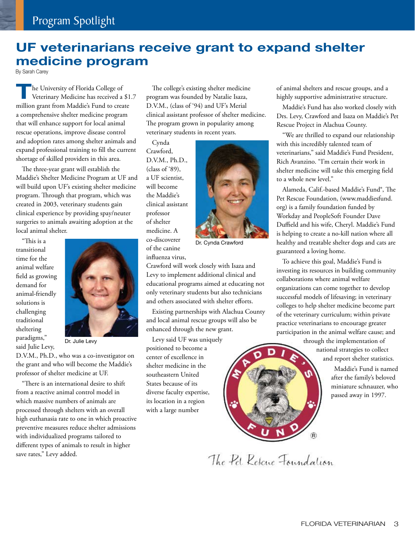### **UF veterinarians receive grant to expand shelter medicine program**

By Sarah Carey

The University of Florida College of Veterinary Medicine has received a \$1.7 million grant from Maddie's Fund to create a comprehensive shelter medicine program that will enhance support for local animal rescue operations, improve disease control and adoption rates among shelter animals and expand professional training to fill the current shortage of skilled providers in this area.

The three-year grant will establish the Maddie's Shelter Medicine Program at UF and will build upon UF's existing shelter medicine program. Through that program, which was created in 2003, veterinary students gain clinical experience by providing spay/neuter surgeries to animals awaiting adoption at the local animal shelter.

"This is a transitional time for the animal welfare field as growing demand for animal-friendly solutions is challenging traditional sheltering paradigms," said Julie Levy,



Dr. Julie Levy

D.V.M., Ph.D., who was a co-investigator on the grant and who will become the Maddie's professor of shelter medicine at UF.

"There is an international desire to shift from a reactive animal control model in which massive numbers of animals are processed through shelters with an overall high euthanasia rate to one in which proactive preventive measures reduce shelter admissions with individualized programs tailored to different types of animals to result in higher save rates," Levy added.

The college's existing shelter medicine program was founded by Natalie Isaza, D.V.M., (class of '94) and UF's Merial clinical assistant professor of shelter medicine. The program grown in popularity among veterinary students in recent years.

Cynda Crawford, D.V.M., Ph.D., (class of '89), a UF scientist, will become the Maddie's clinical assistant professor of shelter medicine. A co-discoverer of the canine influenza virus,



Dr. Cynda Crawford

Crawford will work closely with Isaza and Levy to implement additional clinical and educational programs aimed at educating not only veterinary students but also technicians and others associated with shelter efforts.

Existing partnerships with Alachua County and local animal rescue groups will also be enhanced through the new grant.

Levy said UF was uniquely positioned to become a center of excellence in shelter medicine in the southeastern United States because of its diverse faculty expertise, its location in a region with a large number

of animal shelters and rescue groups, and a highly supportive administrative structure.

Maddie's Fund has also worked closely with Drs. Levy, Crawford and Isaza on Maddie's Pet Rescue Project in Alachua County.

"We are thrilled to expand our relationship with this incredibly talented team of veterinarians," said Maddie's Fund President, Rich Avanzino. "I'm certain their work in shelter medicine will take this emerging field to a whole new level."

Alameda, Calif.-based Maddie's Fund®, The Pet Rescue Foundation, (www.maddiesfund. org) is a family foundation funded by Workday and PeopleSoft Founder Dave Duffield and his wife, Cheryl. Maddie's Fund is helping to create a no-kill nation where all healthy and treatable shelter dogs and cats are guaranteed a loving home.

To achieve this goal, Maddie's Fund is investing its resources in building community collaborations where animal welfare organizations can come together to develop successful models of lifesaving; in veterinary colleges to help shelter medicine become part of the veterinary curriculum; within private practice veterinarians to encourage greater participation in the animal welfare cause; and



after the family's beloved miniature schnauzer, who passed away in 1997.

The Pet Rescue Foundation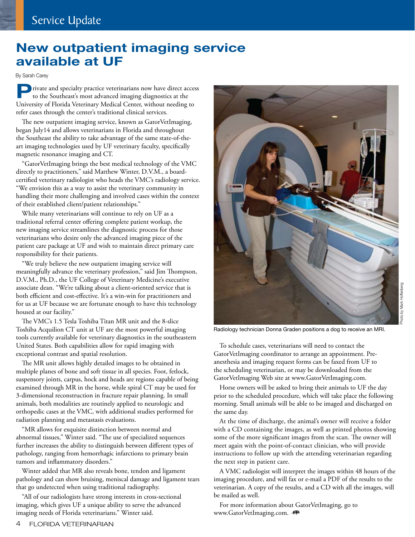# **New outpatient imaging service available at UF**

By Sarah Carey

**P**rivate and specialty practice veterinarians now have direct access to the Southeast's most advanced imaging diagnostics at the University of Florida Veterinary Medical Center, without needing to refer cases through the center's traditional clinical services.

The new outpatient imaging service, known as GatorVetImaging, began July14 and allows veterinarians in Florida and throughout the Southeast the ability to take advantage of the same state-of-theart imaging technologies used by UF veterinary faculty, specifically magnetic resonance imaging and CT.

"GatorVetImaging brings the best medical technology of the VMC directly to practitioners," said Matthew Winter, D.V.M., a boardcertified veterinary radiologist who heads the VMC's radiology service. "We envision this as a way to assist the veterinary community in handling their more challenging and involved cases within the context of their established client/patient relationships."

While many veterinarians will continue to rely on UF as a traditional referral center offering complete patient workup, the new imaging service streamlines the diagnostic process for those veterinarians who desire only the advanced imaging piece of the patient care package at UF and wish to maintain direct primary care responsibility for their patients.

"We truly believe the new outpatient imaging service will meaningfully advance the veterinary profession," said Jim Thompson, D.V.M., Ph.D., the UF College of Veterinary Medicine's executive associate dean. "We're talking about a client-oriented service that is both efficient and cost-effective. It's a win-win for practitioners and for us at UF because we are fortunate enough to have this technology housed at our facility."

The VMC's 1.5 Tesla Toshiba Titan MR unit and the 8-slice Toshiba Acquilion CT unit at UF are the most powerful imaging tools currently available for veterinary diagnostics in the southeastern United States. Both capabilities allow for rapid imaging with exceptional contrast and spatial resolution.

The MR unit allows highly detailed images to be obtained in multiple planes of bone and soft tissue in all species. Foot, fetlock, suspensory joints, carpus, hock and heads are regions capable of being examined through MR in the horse, while spiral CT may be used for 3-dimensional reconstruction in fracture repair planning. In small animals, both modalities are routinely applied to neurologic and orthopedic cases at the VMC, with additional studies performed for radiation planning and metastasis evaluations.

"MR allows for exquisite distinction between normal and abnormal tissues," Winter said. "The use of specialized sequences further increases the ability to distinguish between different types of pathology, ranging from hemorrhagic infarctions to primary brain tumors and inflammatory disorders."

Winter added that MR also reveals bone, tendon and ligament pathology and can show bruising, meniscal damage and ligament tears that go undetected when using traditional radiography.

"All of our radiologists have strong interests in cross-sectional imaging, which gives UF a unique ability to serve the advanced imaging needs of Florida veterinarians." Winter said.



Radiology technician Donna Graden positions a dog to receive an MRI.

To schedule cases, veterinarians will need to contact the GatorVetImaging coordinator to arrange an appointment. Preanesthesia and imaging request forms can be faxed from UF to the scheduling veterinarian, or may be downloaded from the GatorVetImaging Web site at www.GatorVetImaging.com.

Horse owners will be asked to bring their animals to UF the day prior to the scheduled procedure, which will take place the following morning. Small animals will be able to be imaged and discharged on the same day.

At the time of discharge, the animal's owner will receive a folder with a CD containing the images, as well as printed photos showing some of the more significant images from the scan. The owner will meet again with the point-of-contact clinician, who will provide instructions to follow up with the attending veterinarian regarding the next step in patient care.

A VMC radiologist will interpret the images within 48 hours of the imaging procedure, and will fax or e-mail a PDF of the results to the veterinarian. A copy of the results, and a CD with all the images, will be mailed as well.

For more information about GatorVetImaging, go to www.GatorVetImaging.com. <a>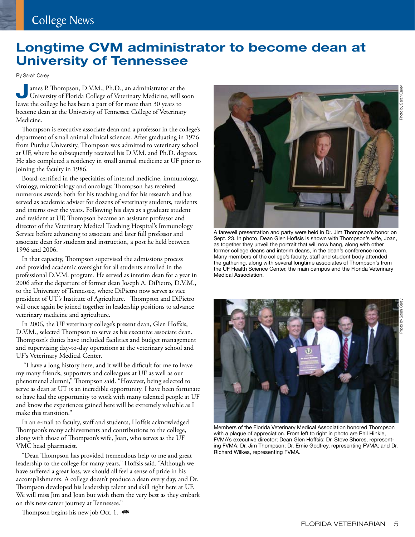### **Longtime CVM administrator to become dean at University of Tennessee**

By Sarah Carey

**James P. Thompson, D.V.M., Ph.D., an administrator at the University of Florida College of Veterinary Medicine, will soon** leave the college he has been a part of for more than 30 years to become dean at the University of Tennessee College of Veterinary Medicine.

Thompson is executive associate dean and a professor in the college's department of small animal clinical sciences. After graduating in 1976 from Purdue University, Thompson was admitted to veterinary school at UF, where he subsequently received his D.V.M. and Ph.D. degrees. He also completed a residency in small animal medicine at UF prior to joining the faculty in 1986.

Board-certified in the specialties of internal medicine, immunology, virology, microbiology and oncology, Thompson has received numerous awards both for his teaching and for his research and has served as academic adviser for dozens of veterinary students, residents and interns over the years. Following his days as a graduate student and resident at UF, Thompson became an assistant professor and director of the Veterinary Medical Teaching Hospital's Immunology Service before advancing to associate and later full professor and associate dean for students and instruction, a post he held between 1996 and 2006.

In that capacity, Thompson supervised the admissions process and provided academic oversight for all students enrolled in the professional D.V.M. program. He served as interim dean for a year in 2006 after the departure of former dean Joseph A. DiPietro, D.V.M., to the University of Tennessee, where DiPietro now serves as vice president of UT's Institute of Agriculture. Thompson and DiPietro will once again be joined together in leadership positions to advance veterinary medicine and agriculture.

In 2006, the UF veterinary college's present dean, Glen Hoffsis, D.V.M., selected Thompson to serve as his executive associate dean. Thompson's duties have included facilities and budget management and supervising day-to-day operations at the veterinary school and UF's Veterinary Medical Center.

 "I have a long history here, and it will be difficult for me to leave my many friends, supporters and colleagues at UF as well as our phenomenal alumni," Thompson said. "However, being selected to serve as dean at UT is an incredible opportunity. I have been fortunate to have had the opportunity to work with many talented people at UF and know the experiences gained here will be extremely valuable as I make this transition."

In an e-mail to faculty, staff and students, Hoffsis acknowledged Thompson's many achievements and contributions to the college, along with those of Thompson's wife, Joan, who serves as the UF VMC head pharmacist.

"Dean Thompson has provided tremendous help to me and great leadership to the college for many years," Hoffsis said. "Although we have suffered a great loss, we should all feel a sense of pride in his accomplishments. A college doesn't produce a dean every day, and Dr. Thompson developed his leadership talent and skill right here at UF. We will miss Jim and Joan but wish them the very best as they embark on this new career journey at Tennessee."

Thompson begins his new job Oct. 1. -



as together they unveil the portrait that will now hang, along with other former college deans and interim deans, in the dean's conference room. Many members of the college's faculty, staff and student body attended the gathering, along with several longtime associates of Thompson's from the UF Health Science Center, the main campus and the Florida Veterinary Medical Association.



Members of the Florida Veterinary Medical Association honored Thompson with a plaque of appreciation. From left to right in photo are Phil Hinkle, FVMA's executive director; Dean Glen Hoffsis; Dr. Steve Shores, representing FVMA; Dr. Jim Thompson; Dr. Ernie Godfrey, representing FVMA; and Dr. Richard Wilkes, representing FVMA.

Photo by Sarah Carey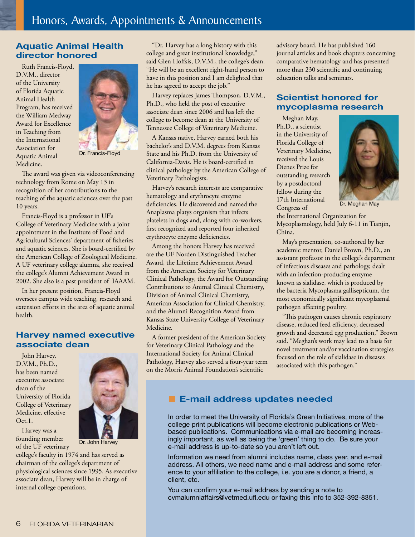### **Aquatic Animal Health director honored**

Ruth Francis-Floyd, D.V.M., director of the University of Florida Aquatic Animal Health Program, has received the William Medway Award for Excellence in Teaching from the International Association for Aquatic Animal Medicine.



Dr. Francis-Floyd

The award was given via videoconferencing technology from Rome on May 13 in recognition of her contributions to the teaching of the aquatic sciences over the past 10 years.

Francis-Floyd is a professor in UF's College of Veterinary Medicine with a joint appointment in the Institute of Food and Agricultural Sciences' department of fisheries and aquatic sciences. She is board-certified by the American College of Zoological Medicine. A UF veterinary college alumna, she received the college's Alumni Achievement Award in 2002. She also is a past president of IAAAM.

In her present position, Francis-Floyd oversees campus wide teaching, research and extension efforts in the area of aquatic animal health.

### **Harvey named executive associate dean**

John Harvey, D.V.M., Ph.D., has been named executive associate dean of the University of Florida College of Veterinary Medicine, effective  $Oct1$ 



Harvey was a founding member of the UF veterinary

Dr. John Harvey

college's faculty in 1974 and has served as chairman of the college's department of physiological sciences since 1995. As executive associate dean, Harvey will be in charge of internal college operations.

"Dr. Harvey has a long history with this college and great institutional knowledge," said Glen Hoffsis, D.V.M., the college's dean. "He will be an excellent right-hand person to have in this position and I am delighted that he has agreed to accept the job."

Harvey replaces James Thompson, D.V.M., Ph.D., who held the post of executive associate dean since 2006 and has left the college to become dean at the University of Tennessee College of Veterinary Medicine.

A Kansas native, Harvey earned both his bachelor's and D.V.M. degrees from Kansas State and his Ph.D. from the University of California-Davis. He is board-certified in clinical pathology by the American College of Veterinary Pathologists.

Harvey's research interests are comparative hematology and erythrocyte enzyme deficiencies. He discovered and named the Anaplasma platys organism that infects platelets in dogs and, along with co-workers, first recognized and reported four inherited erythrocyte enzyme deficiencies.

Among the honors Harvey has received are the UF Norden Distinguished Teacher Award, the Lifetime Achievement Award from the American Society for Veterinary Clinical Pathology, the Award for Outstanding Contributions to Animal Clinical Chemistry, Division of Animal Clinical Chemistry, American Association for Clinical Chemistry, and the Alumni Recognition Award from Kansas State University College of Veterinary Medicine.

A former president of the American Society for Veterinary Clinical Pathology and the International Society for Animal Clinical Pathology, Harvey also served a four-year term on the Morris Animal Foundation's scientific

advisory board. He has published 160 journal articles and book chapters concerning comparative hematology and has presented more than 230 scientific and continuing education talks and seminars.

### **Scientist honored for mycoplasma research**

Meghan May, Ph.D., a scientist in the University of Florida College of Veterinary Medicine, received the Louis Dienes Prize for outstanding research by a postdoctoral fellow during the 17th International Congress of



Dr. Meghan May

the International Organization for Mycoplasmology, held July 6-11 in Tianjin, China.

May's presentation, co-authored by her academic mentor, Daniel Brown, Ph.D., an assistant professor in the college's department of infectious diseases and pathology, dealt with an infection-producing enzyme known as sialidase, which is produced by the bacteria Mycoplasma gallisepticum, the most economically significant mycoplasmal pathogen affecting poultry.

"This pathogen causes chronic respiratory disease, reduced feed efficiency, decreased growth and decreased egg production," Brown said. "Meghan's work may lead to a basis for novel treatment and/or vaccination strategies focused on the role of sialidase in diseases associated with this pathogen."

### **E-mail address updates needed**

In order to meet the University of Florida's Green Initiatives, more of the college print publications will become electronic publications or Webbased publications. Communications via e-mail are becoming increasingly important, as well as being the 'green' thing to do. Be sure your e-mail address is up-to-date so you aren't left out.

Information we need from alumni includes name, class year, and e-mail address. All others, we need name and e-mail address and some reference to your affiliation to the college, i.e. you are a donor, a friend, a client, etc.

You can confirm your e-mail address by sending a note to cvmalumniaffairs@vetmed.ufl.edu or faxing this info to 352-392-8351.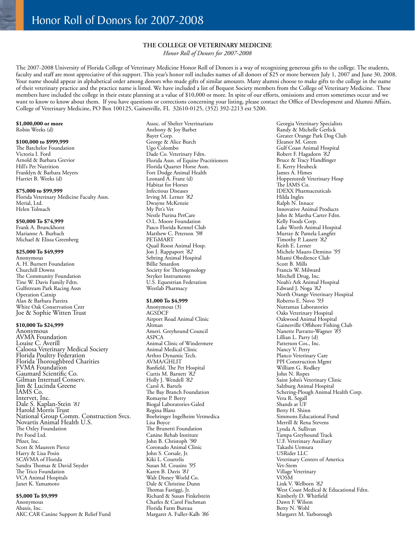### **THE COLLEGE OF VETERINARY MEDICINE**

*Honor Roll of Donors for 2007-2008*

The 2007-2008 University of Florida College of Veterinary Medicine Honor Roll of Donors is a way of recognizing generous gifts to the college. The students, faculty and staff are most appreciative of this support. This year's honor roll includes names of all donors of \$25 or more between July 1, 2007 and June 30, 2008. Your name should appear in alphabetical order among donors who made gifts of similar amounts. Many alumni choose to make gifts to the college in the name of their veterinary practice and the practice name is listed. We have included a list of Bequest Society members from the College of Veterinary Medicine. These members have included the college in their estate planning at a value of \$10,000 or more. In spite of our efforts, omissions and errors sometimes occur and we want to know to know about them. If you have questions or corrections concerning your listing, please contact the Office of Development and Alumni Affairs, College of Veterinary Medicine, PO Box 100125, Gainesville, FL 32610-0125, (352) 392-2213 ext 5200.

#### **\$1,000,000 or more** Robin Weeks (d)

#### **\$100,000 to \$999,999**

The Batchelor Foundation Victoria I. Ford Arnold & Barbara Grevior Hill's Pet Nutrition Franklyn & Barbara Meyers Harriet B. Weeks (d)

### **\$75,000 to \$99,999**

Florida Veterinary Medicine Faculty Assn. Merial, Ltd. Helen Tolmach

#### **\$50,000 To \$74,999**

Frank A. Brunckhorst Marianne A. Burbach Michael & Elissa Greenberg

#### **\$25,000 To \$49,999**

Anonymous A. H. Burnett Foundation Churchill Downs The Community Foundation Tine W. Davis Family Fdtn. Gulfstream Park Racing Assn Operation Catnip Alan & Barbara Pareira White Oak Conservation Cntr Joe & Sophie Witten Trust

#### **\$10,000 To \$24,999**

Anonymous AVMA Foundation Louise C. Averill Caloosa Veterinary Medical Society Florida Poultry Federation Florida Thoroughbred Charities FVMA Foundation Gaumard Scientific Co. Gilman Internatl Conserv. Jim & Lucinda Greene IAMS Co. Intervet, Inc. Dale S. Kaplan-Stein *'81* Harold Morris Trust National Group Comm. Construction Svcs. Novartis Animal Health U.S. The Oxley Foundation Pet Food Ltd. Pfizer, Inc. Scott & Maureen Pierce Harry & Lisa Posin SCAVMA of Florida Sandra Thomas & David Snyder The Trico Foundation VCA Animal Hospitals Janet K. Yamamoto

#### **\$5,000 To \$9,999**

Anonymous Abaxis, Inc. AKC CAR Canine Support & Relief Fund Assoc. of Shelter Veterinarians Anthony & Joy Barbet Bayer Corp. George & Alice Burch Ugo Colombo Dade Co. Veterinary Fdtn. Florida Assn. of Equine Practitioners Florida Quarter Horse Assn. Fort Dodge Animal Health Leonard A. Franz (d) Habitat for Horses Infectious Diseases Irving M. Lerner *'82* Dwayne McKenzie My Pet's Vet Nestle Purina PetCare O.L. Moore Foundation Pasco Florida Kennel Club Matthew C. Peterson *'98* PETsMART Quail Roost Animal Hosp. Jon J. Rappaport *'82* Sebring Animal Hospital Billie Smardon Society for Theriogenology Stryker Instruments U.S. Equestrian Federation Westlab Pharmacy

#### **\$1,000 To \$4,999**

Anonymous (3) **AGSDCF** Airport Road Animal Clinic Altman Ameri. Greyhound Council ASPCA Animal Clinic of Windermere Animal Medical Clinic Arthro Dynamic Tech. AVMA/GHLIT Banfield, The Pet Hospital Curtis M. Barnett *'82* Holly J. Wendell *'82* Carol A. Bartels The Bay Branch Foundation Romayne P. Berry Biogal Laboratories-Galed Regina Blanz Boehringer Ingelheim Vetmedica Lisa Boyce The Brunetti Foundation Canine Rehab Institute John B. Christoph *'90* Coronado Animal Clinic John S. Corsale, Jr. Kiki L. Courtelis Susan M. Cousins *'95* Karen B. Davis *'81* Walt Disney World Co. Dale & Christine Dunn Thomas Fastiggi, Jr. Richard & Susan Finkelstein Charles & Carol Fischman Florida Farm Bureau Margaret A. Fuller-Kalb *'86*

Georgia Veterinary Specialists Randy & Michelle Gerlick Greater Orange Park Dog Club Eleanor M. Green Gulf Coast Animal Hospital Robert F. Hagadorn *'82* Bruce & Tracy Handfinger E. Kerry Heubeck James A. Himes Hoppenstedt Veterinary Hosp The IAMS Co. IDEXX Pharmaceuticals Hilda Ingles Ralph N. Innace Innovative Animal Products John & Martha Carter Fdtn. Kelly Foods Corp. Lake Worth Animal Hospital Murray & Pamela Langfitt Timothy P. Lassett *'82* Keith E. Lerner Michele Mauro-Demino *'95* Miami Obedience Club Scott B. Mills Francis W. Milward Mitchell Drug, Inc. Noah's Ark Animal Hospital Edward J. Noga *'82* North Orange Veterinary Hospital Roberto E. Novo *'93* Nutramax Laboratories Oaks Veterinary Hospital Oakwood Animal Hospital Gainesville Offshore Fishing Club Nanette Parratto-Wagner *'85* Lillian L. Parry (d) Patterson Cos., Inc. Nancy V. Perry Planco Veterinary Care PPI Construction Mgmt William G. Rodkey John N. Ropes Saint John's Veterinary Clinic Salzburg Animal Hospital Schering-Plough Animal Health Corp. Vera R. Segall Shands at UF Betty H. Shinn Simmons Educational Fund Merrill & Rena Stevens Lynda A. Sullivan Tampa Greyhound Track U.F. Veterinary Auxiliary Takashi Uemura USRider LLC Veterinary Centers of America Vet-Stem Village Veterinary VOSM Link V. Welborn *'82* West Coast Medical & Educational Fdtn. Kimberly D. Whitfield Dawn F. Wilson Betty N. Wohl Margaret M. Yarborough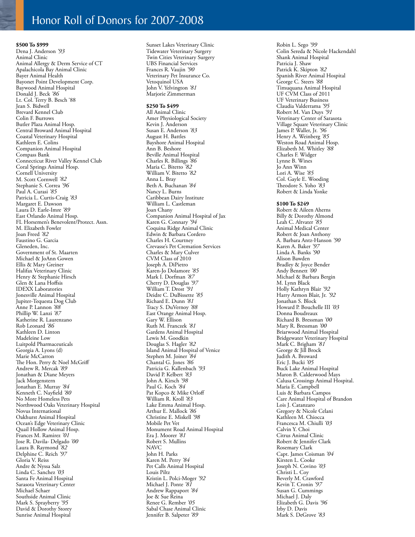### Honor Roll of Donors for 2007-2008

**\$500 To \$999** Dena J. Anderson *'93* Animal Clinic Animal Allergy & Derm Service of CT Apalachicola Bay Animal Clinic Bayer Animal Health Bayonet Point Development Corp. Baywood Animal Hospital Donald J. Beck *'86* Lt. Col. Terry B. Besch '88 Jean S. Bidwell Brevard Kennel Club Colin F. Burrows Butler Plaza Animal Hosp. Central Broward Animal Hospital Coastal Veterinary Hospital Kathleen E. Colins Companion Animal Hospital Compass Bank Connecticut River Valley Kennel Club Coral Springs Animal Hosp. Cornell University M. Scott Cornwell *'82* Stephanie S. Correa *'96* Paul A. Curasi *'85* Patricia L. Curtis-Craig *'83* Margaret E. Dawson Laura D. Earle-Imre *'89* East Orlando Animal Hosp. FL Horsemen's Benevolent/Protect. Assn. M. Elizabeth Fowler Joan Freed *'82* Faustino G. Garcia Gleneden, Inc. Government of St. Maarten Michael & JoAnn Gowen Ellis & Mary Greiner Halifax Veterinary Clinic Henry & Stephanie Hirsch Glen & Lana Hoffsis IDEXX Laboratories Jonesville Animal Hospital Jupiter-Tequesta Dog Club Anne P. Lannon *'88* Phillip W. Lanzi *'87* Katherine R. Laurenzano Rob Leonard *'86* Kathleen D. Linton Madeleine Low Luitpold Pharmaceuticals Georgia A. Lyons (d) Marie McCarron The Hon. Perry & Noel McGriff Andrew R. Mercak *'89* Jonathan & Diane Meyers Jack Morgenstern Jonathan E. Murray *'84* Kenneth C. Nayfield *'80* No More Homeless Pets Northwood Oaks Veterinary Hospital Novus International Oakhurst Animal Hospital Ocean's Edge Veterinary Clinic Quail Hollow Animal Hosp. Frances M. Ramirez *'01* Jose R. Davila- Delgado *'00* Laura B. Raymond *'82* Delphine C. Reich *'97* Gloria V. Reiss Andre & Nyssa Salz Linda C. Sanchez *'03* Santa Fe Animal Hospital Sarasota Veterinary Center Michael Schaer Southside Animal Clinic Mark S. Sprayberry *'95* David & Dorothy Storey Sunrise Animal Hospital

Sunset Lakes Veterinary Clinic Tidewater Veterinary Surgery Twin Cities Veterinary Surgery UBS Financial Services Frances R. Vaujin *'90* Veterinary Pet Insurance Co. Vetoquinol USA John V. Yelvington *'81* Marjorie Zimmerman

### **\$250 To \$499**

All Animal Clinic Amer Physiological Society Kevin J. Anderson Susan E. Anderson *'83* August H. Battles Bayshore Animal Hospital Ann B. Beshore Beville Animal Hospital Charles R. Billings *'86* Maria C. Bitetto *'82* William V. Bitetto *'82* Anna L. Bray Beth A. Buchanan *'84* Nancy L. Burns Caribbean Dairy Institute William L. Castleman Joan Chany Companion Animal Hospital of Jax Karen G. Connary *'94* Coquina Ridge Animal Clinic Edwin & Barbara Cordero Charles H. Courtney Crevasse's Pet Cremation Services Charles & Mary Culver CVM Class of 2010 Joseph A. DiPietro Karen-Jo Dolamore *'85* Mark I. Dorfman *'87* Cherry D. Douglas *'97* William T. Drost *'91* Deidre C. DuBissette *'85* Richard E. Dunn *'81* Tracy S. DuVernoy *'88* East Orange Animal Hosp. Gary W. Ellison Ruth M. Franczek *'81* Gardens Animal Hospital Lewis M. Goodkin Douglas S. Hagler *'82* Island Animal Hospital of Venice Stephen M. Joiner *'84* Chantal G. Jones *'86* Patricia G. Kallenbach *'93* David P. Kelbert *'83* John A. Kirsch *'98* Paul G. Koch *'84* Pat Kopco & Mike Orloff William R. Kroll *'83* Lake Emma Animal Hosp. Arthur E. Mallock *'86* Christine E. Miskell *'98* Mobile Pet Vet Monument Road Animal Hospital Era J. Moorer *'81* Robert S. Mullins NAVC John H. Parks Karen M. Perry *'84* Pet Calls Animal Hospital Louis Piltz Kristin L. Polci-Moger *'92* Michael J. Ponte *'81* Andrew Rappaport *'84* Joe & Sue Reina Renee G. Rember *'05* Sabal Chase Animal Clinic Jennifer B. Salpeter *'89*

Robin L. Sego *'99* Colin Sereda & Nicole Hackendahl Shank Animal Hospital Patricia J. Shaw Patrick K. Skipton *'82* Spanish River Animal Hospital George C. Steers *'88* Timuquana Animal Hospital UF CVM Class of 2011 UF Veterinary Business Claudia Valderrama *'95* Robert M. Van Duys *'91* Veterinary Center of Sarasota Village Square Veterinary Clinic James P. Waller, Jr. *'96* Henry A. Weinberg *'85* Weston Road Animal Hosp. Elizabeth M. Whitley *'88* Charles F. Widger Lynne B. Wines Jo Ann Winn Lori A. Wise *'85* Col. Gayle E. Wooding Theodore S. Yoho *'83* Robert & Linda Yonke **\$100 To \$249** Robert & Aileen Aherns Billy & Dorothy Almond

Leah C. Altvater *'85* Animal Medical Center Robert & Joan Anthony A. Barbara Antz-Hanson *'90* Karen A. Baker *'97* Linda A. Banks *'90* Alison Bawden Bradley & Joyce Bender Andy Bennett *'00* Michael & Barbara Bergin M. Lynn Black Holly Kathryn Blair *'92* Harry Armon Blair, Jr. *'92* Jonathan S. Block Howard P. Bouchelle III *'03* Donna Boudreaux Richard B. Bressman *'00* Mary R. Bressman *'00* Briarwood Animal Hospital Bridgewater Veterinary Hospital Mark C. Brigham *'81* George & Jill Brock Judith A. Broward Eric J. Bucki *'05* Buck Lake Animal Hospital Maron B. Calderwood Mays Calusa Crossings Animal Hospital. Maria E. Campbell Luis & Barbara Campos Care Animal Hospital of Brandon Lois J. Catanzaro Gregory & Nicole Celani Kathleen M. Chiocca Francesca M. Chiulli *'03* Calvin Y. Choi Citrus Animal Clinic Robert & Jennifer Clark Rosemary Clark Capt. James Coisman *'04* Kirsten L. Cooke Joseph N. Covino *'03* Christi L. Coy Beverly M. Crawford Kevin T. Cronin *'97* Susan G. Cummings Michael J. Daly Elizabeth G. Davis *'96* Irby D. Davis Mark S. DeGrove *'83*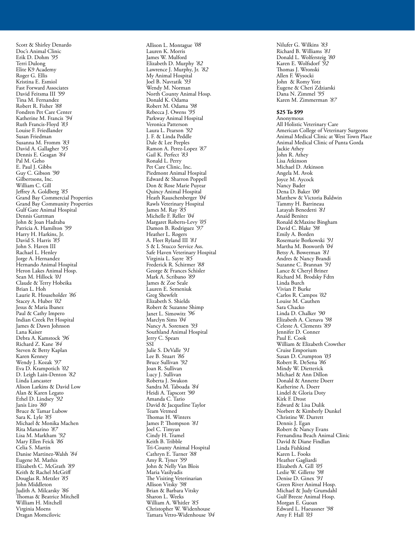Scott & Shirley Denardo Doc's Animal Clinic Erik D. Dohm *'95* Terri Dulong Elite K9 Academy Roger G. Ellis Kristina E. Esmiol Fast Forward Associates David Feitsma III *'99* Tina M. Fernandez Robert R. Fisher *'88* Fondren Pet Care Center Katherine M. Francis *'94* Ruth Francis-Floyd *'83* Louise F. Friedlander Susan Friedman Susanna M. Fromm *'83* David A. Gallagher *'95* Dennis E. Geagan *'84* Pal M. Geho E. Paul J. Gibbs Guy C. Gibson *'90* Gilbertsons, Inc. William C. Gill Jeffrey A. Goldberg *'85* Grand Bay Commercial Properties Grand Bay Community Properties Gulf Gate Animal Hospital Dennis Guttman John & Joan Hadraba Patricia A. Hamilton *'99* Harry H. Harkins, Jr. David S. Harris *'85* John S. Haven III Rachael L. Henley Jorge A. Hernandez Hernando Animal Hospital Heron Lakes Animal Hosp. Sean M. Hillock *'01* Claude & Terry Hobeika Brian L. Hoh Laurie R. Householder *'86* Stacey A. Huber *'02* Jesus & Maria Ibanez Paul & Cathy Impero Indian Creek Pet Hospital James & Dawn Johnson Lana Kaiser Debra A. Kamstock *'96* Richard Z. Kane *'84* Steven & Betty Kaplan Karen Kenney Wendy J. Kozak *'97* Eva D. Krampotich *'02* D. Leigh Lain-Denton *'82* Linda Lancaster Alison Larkins & David Low Alan & Karen Legato Ethel D. Lindsey *'92* Janis Liro *'80* Bruce & Tamar Lubow Sara K. Lyle *'85* Michael & Monika Machen Rita Manarino *'87* Lisa M. Markham *'92* Mary Ellen Feick *'86* Celia S. Martin Danise Martinez-Walsh *'84* Eugene M. Mathis Elizabeth C. McGrath *'89* Keith & Rachel McGriff Douglas R. Metzler *'85* John Middleton Judith A. Milcarsky *'86* Thomas & Beatrice Mitchell William H. Mitchell Virginia Moens Dragan Momcilovic

Allison L. Montague *'08* Lauren K. Morris James W. Mulford Elizabeth D. Murphy *'82* Lawrence J. Murphy, Jr. *'82* My Animal Hospital Joel B. Navratik *'93* Wendy M. Norman North County Animal Hosp. Donald K. Odama Robert M. Odama *'98* Rebecca J. Owens *'95* Parkway Animal Hospital Veronica Patterson Laura L. Pearson *'92* J. F. & Linda Peddle Dale & Lee Peeples Ramon A. Perez-Lopez *'87* Gail K. Perfect *'83* Ronald L. Perry Pet Care Clinic, Inc. Piedmont Animal Hospital Edward & Sharron Poppell Don & Rose Marie Puyear Quincy Animal Hospital Heath Rauschenberger *'04* Rawls Veterinary Hospital James M. Ray *'85* Michelle F. Reller *'04* Margaret Roberts-Levy *'05* Damon B. Rodriguez *'97* Heather L. Rogers A. Fleet Ryland III *'81* S & L Stucco Service Ass. Safe Haven Veterinary Hospital Virginia L. Sayre *'85* Frederick R. Schirmer *'88* George & Frances Schisler Mark A. Scribano *'89* James & Zoe Seale Lauren E. Semeniuk Greg Shewfelt Elizabeth S. Shields Robert & Suzanne Shimp Janet L. Simowitz *'96* Marclyn Sims *'04* Nancy A. Sorensen *'93* Southland Animal Hospital Jerry C. Spears **SSI** Julie S. DeValle *'91* Lee B. Stuart *'86* Bruce Sullivan *'92* Joan R. Sullivan Lucy J. Sullivan Roberta J. Swakon Sandra M. Taboada *'84* Heidi A. Tapscott *'90* Amanda C. Tario David & Jacqueline Taylor Team Vetmed Thomas H. Winters James P. Thompson *'81* Joel C. Timyan Cindy H. Tramel Keith B. Tribble Tri-County Animal Hospital Cathryn E. Turner *'88* Amy R. Tyner *'99* John & Nelly Van Blois Maria Vasilyadis The Visiting Veterinarian Allison Vitsky *'98* Brian & Barbara Vitsky Sharon L. Weeks William A. Whitler *'85* Christopher W. Widenhouse Tamara Vetro-Widenhouse *'04*

Nilufer G. Wilkins *'83* Richard B. Williams *'81* Donald L. Wolfersteig *'80* Karen E. Wolfsdorf *'92* Thomas J. Wronski Allen F. Wysocki John & Romy Yotz Eugene & Cheri Zdziarski Dana N. Zimmel *'95* Karen M. Zimmerman *'87*

### **\$25 To \$99**

Anonymous All Holistic Veterinary Care American College of Veterinary Surgeons Animal Medical Clinic at West Town Place Animal Medical Clinic of Punta Gorda Jackie Athey John R. Athey Lisa Atkinson Michael D. Atkinson Angela M. Avok Joyce M. Aycock Nancy Bader Dena D. Baker *'00* Matthew & Victoria Baldwin Tammy H. Barrineau Latayah Benedetti *'81* Anaid Benitez Ronald &Maxine Bingham David C. Blake *'98* Emily A. Borden Rosemarie Borkowski *'91* Martha M. Bosworth *'04* Betsy A. Bowerman *'81* Andres & Nancy Brandi Suzanne C. Brannan *'91* Lance & Cheryl Briner Richard M. Brodsky Fdtn Linda Burch Vivian P. Burke Carlos R. Campos *'02* Louise M. Cauthen Sara Chacko Linda D. Chalker *'90* Elizabeth A. Cienava *'98* Celeste A. Clements *'89* Jennifer D. Conner Paul E. Cook William & Elizabeth Crowther Cruise Emporium Susan D. Crumpton *'03* Robert R. DeSena *'86* Mindy W. Dietterick Michael & Ann Dillon Donald & Annette Doerr Katherine A. Doerr Lindel & Gloria Doty Kirk F. Drost Edward & Lisa Dulik Norbert & Kimberly Dunkel Christine W. Durrett Dennis J. Egan Robert & Nancy Evans Fernandina Beach Animal Clinic David & Diane Findlan Linda Fishkind Karen L. Fooks Heather Gagliardi Elizabeth A. Gill *'05* Leslie W. Gillette *'98* Denise D. Ginex *'91* Green River Animal Hosp. Michael & Judy Grumdahl Gulf Breeze Animal Hosp. Morgan E. Guoan Edward L. Haeussner *'98* Amy F. Hall *'03*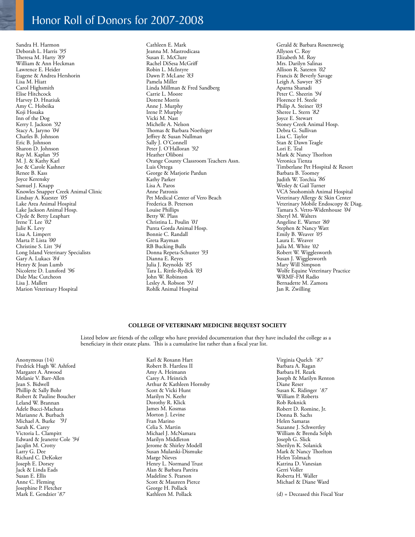### Honor Roll of Donors for 2007-2008

Sandra H. Harmon Deborah L. Harris *'95* Theresa M. Harty *'89* William & Ann Heckman Lawrence E. Heider Eugene & Andrea Hershorin Lisa M. Hiatt Carol Highsmith Elise Hitchcock Harvey D. Hnatiuk Amy C. Hobeika Koji Hosaka Inn of the Dog Kerry I. Jackson *'92* Stacy A. Jaryno *'04* Charles B. Johnson Eric B. Johnson Sharon D. Johnson Ray M. Kaplan *'95* M. J. & Kathy Karl Joe & Carole Kashner Renee B. Kass Joyce Kerensky Samuel J. Knapp Knowles Snapper Creek Animal Clinic Lindsay A. Kuester *'05* Lake Area Animal Hospital Lake Jackson Animal Hosp. Clyde & Betty Leaphart Irene T. Lee *'02* Julie K. Levy Lisa A. Limpert Marta P. Lista *'00* Christine S. Litt *'94* Long Island Veterinary Specialists Gary A. Lukacs *'84* Henry & Joan Lumb Nicolette D. Lunsford *'96* Dale Mac Cutcheon Lisa J. Mallett Marion Veterinary Hospital

Cathleen E. Mark Jeanna M. Mastrodicasa Susan E. McClure Rachel DiSesa McGriff Robin L. McIntyre Dawn P. McLane *'83* Pamela Miller Linda Millman & Fred Sandberg Carrie L. Moore Dorene Morris Anne J. Murphy Irene P. Murphy Vicki M. Nast Michelle A. Nelson Thomas & Barbara Noethiger Jeffrey & Susan Nullman Sally J. O'Connell Peter J. O'Halloran *'92* Heather Oliboni Orange County Classroom Teachers Assn. Luis Ortega George & Marjorie Pardun Kathy Parker Lisa A. Paros Anne Patronis Pet Medical Center of Vero Beach Frederica B. Peterson Louise Phillips Betty W. Plass Christina L. Poulin *'01* Punta Gorda Animal Hosp. Bonnie C. Randall Greta Rayman RB Bucking Bulls Donna Repeta-Schuster *'93* Dianna E. Reyes Julia J. Reynolds *'85* Tara L. Rittle-Rydick *'03* John W. Robinson Lesley A. Robson *'91* Rohlk Animal Hospital

Gerald & Barbara Rosenzweig Allyson C. Roy Elizabeth M. Roy Mrs. Darilyn Salinas Allison R. Sateren *'02* Francis & Beverly Savage Leigh A. Sawyer *'85* Aparna Shanadi Peter C. Sheerin *'94* Florence H. Steele Philip A. Steiner *'03* Sheree L. Stern *'82* Joyce E. Stewart Stoney Creek Animal Hosp. Debra G. Sullivan Lisa C. Taylor Stan & Dawn Teagle Lori E. Teal Mark & Nancy Thorlton Veronica Tienza Timberlane Pet Hospital & Resort Barbara B. Toomey Judith W. Torchia *'86* Wesley & Gail Turner VCA Snohomish Animal Hospital Veterinary Allergy & Skin Center Veterinary Mobile Endoscopy & Diag. Tamara S. Vetro-Widenhouse *'04* Sheryl M. Walters Angeline E. Warner *'80* Stephen & Nancy Watt Emily B. Weaver *'05* Laura E. Weaver Julia M. White *'02* Robert W. Wigglesworth Susan J. Wigglesworth Mary Will Simpson Wolfe Equine Veterinary Practice WRMF-FM Radio Bernadette M. Zamora Jan R. Zwilling

### **College of Veterinary Medicine Bequest Society**

Listed below are friends of the college who have provided documentation that they have included the college as a beneficiary in their estate plans. This is a cumulative list rather than a fiscal year list.

Anonymous (14) Fredrick Hugh W. Ashford Margaret A. Atwood Melanie V. Barr-Allen Jean S. Bidwell Phillip & Sally Bohr Robert & Pauline Boucher Leland W. Brannan Adele Bucci-Machata Marianne A. Burbach Michael A. Burke *'91* Sarah K. Carey Victoria L. Clampitt Edward & Jeanette Cole *'94* Jacqlin M. Crotty Larry G. Dee Richard C. DeKoker Joseph E. Dorsey Jack & Linda Eads Susan E. Ellis Anne C. Fleming Josephine P. Fletcher Mark E. Gendzier '*87*

Karl & Roxann Hart Robert B. Hartless II Amy A. Heimann Carey A. Heinrich Arthur & Kathleen Hornsby Scott & Vicki Hunt Marilyn N. Keehr Dorothy R. Klick James M. Kosmas Morton J. Levine Fran Marino Celia S. Martin Michael J. McNamara Marilyn Middleton Jerome & Shirley Modell Susan Mularski-Dismuke Marge Nieves Henry L. Normand Trust Alan & Barbara Pareira Madeline S. Pearson Scott & Maureen Pierce George H. Pollack Kathleen M. Pollack

Virginia Quelch '*87* Barbara A. Ragan Barbara H. Reark Joseph & Marilyn Renton Diane Reser Susan K. Ridinger '*87* William P. Roberts Rob Roknick Robert D. Romine, Jr. Donna B. Sachs Helen Samaras Suzanne J. Schwertley William & Brenda Selph Joseph G. Slick Sherilyn K. Solanick Mark & Nancy Thorlton Helen Tolmach Katrina D. Vanesian Gerri Voller Roberta H. Waller Michael & Diane Ward

(d) = Deceased this Fiscal Year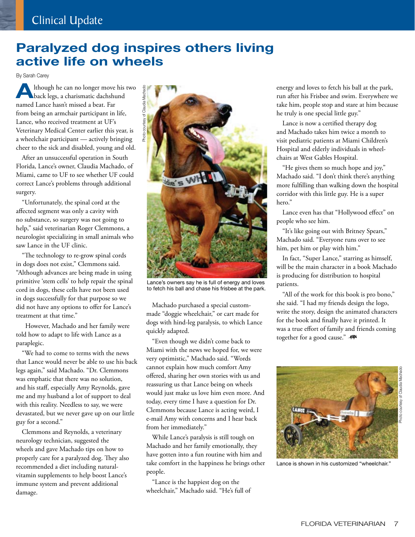## **Paralyzed dog inspires others living active life on wheels**

By Sarah Carey

**A**lthough he can no longer move his two back legs, a charismatic dachshund named Lance hasn't missed a beat. Far from being an armchair participant in life, Lance, who received treatment at UF's Veterinary Medical Center earlier this year, is a wheelchair participant — actively bringing cheer to the sick and disabled, young and old.

After an unsuccessful operation in South Florida, Lance's owner, Claudia Machado, of Miami, came to UF to see whether UF could correct Lance's problems through additional surgery.

"Unfortunately, the spinal cord at the affected segment was only a cavity with no substance, so surgery was not going to help," said veterinarian Roger Clemmons, a neurologist specializing in small animals who saw Lance in the UF clinic.

"The technology to re-grow spinal cords in dogs does not exist," Clemmons said. "Although advances are being made in using primitive 'stem cells' to help repair the spinal cord in dogs, these cells have not been used in dogs successfully for that purpose so we did not have any options to offer for Lance's treatment at that time."

 However, Machado and her family were told how to adapt to life with Lance as a paraplegic.

"We had to come to terms with the news that Lance would never be able to use his back legs again," said Machado. "Dr. Clemmons was emphatic that there was no solution, and his staff, especially Amy Reynolds, gave me and my husband a lot of support to deal with this reality. Needless to say, we were devastated, but we never gave up on our little guy for a second."

Clemmons and Reynolds, a veterinary neurology technician, suggested the wheels and gave Machado tips on how to properly care for a paralyzed dog. They also recommended a diet including naturalvitamin supplements to help boost Lance's immune system and prevent additional damage.



Lance's owners say he is full of energy and loves to fetch his ball and chase his frisbee at the park.

Machado purchased a special custommade "doggie wheelchair," or cart made for dogs with hind-leg paralysis, to which Lance quickly adapted.

"Even though we didn't come back to Miami with the news we hoped for, we were very optimistic," Machado said. "Words cannot explain how much comfort Amy offered, sharing her own stories with us and reassuring us that Lance being on wheels would just make us love him even more. And today, every time I have a question for Dr. Clemmons because Lance is acting weird, I e-mail Amy with concerns and I hear back from her immediately."

While Lance's paralysis is still tough on Machado and her family emotionally, they have gotten into a fun routine with him and take comfort in the happiness he brings other people.

"Lance is the happiest dog on the wheelchair," Machado said. "He's full of energy and loves to fetch his ball at the park, run after his Frisbee and swim. Everywhere we take him, people stop and stare at him because he truly is one special little guy."

Lance is now a certified therapy dog and Machado takes him twice a month to visit pediatric patients at Miami Children's Hospital and elderly individuals in wheelchairs at West Gables Hospital.

"He gives them so much hope and joy," Machado said. "I don't think there's anything more fulfilling than walking down the hospital corridor with this little guy. He is a super hero."

Lance even has that "Hollywood effect" on people who see him.

"It's like going out with Britney Spears," Machado said. "Everyone runs over to see him, pet him or play with him."

In fact, "Super Lance," starring as himself, will be the main character in a book Machado is producing for distribution to hospital patients.

"All of the work for this book is pro bono," she said. "I had my friends design the logo, write the story, design the animated characters for the book and finally have it printed. It was a true effort of family and friends coming together for a good cause." -



Lance is shown in his customized "wheelchair."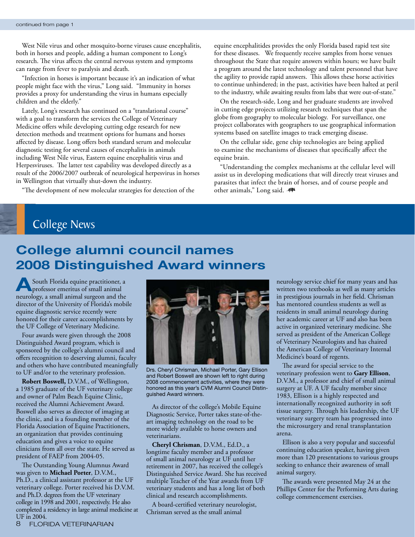West Nile virus and other mosquito-borne viruses cause encephalitis, both in horses and people, adding a human component to Long's research. The virus affects the central nervous system and symptoms can range from fever to paralysis and death.

"Infection in horses is important because it's an indication of what people might face with the virus," Long said. "Immunity in horses provides a proxy for understanding the virus in humans especially children and the elderly."

Lately, Long's research has continued on a "translational course" with a goal to transform the services the College of Veterinary Medicine offers while developing cutting edge research for new detection methods and treatment options for humans and horses affected by disease. Long offers both standard serum and molecular diagnostic testing for several causes of encephalitis in animals including West Nile virus, Eastern equine encephalitis virus and Herpesviruses. The latter test capability was developed directly as a result of the 2006/2007 outbreak of neurological herpesvirus in horses in Wellington that virtually shut-down the industry.

"The development of new molecular strategies for detection of the

equine encephalitides provides the only Florida based rapid test site for these diseases. We frequently receive samples from horse venues throughout the State that require answers within hours; we have built a program around the latest technology and talent personnel that have the agility to provide rapid answers. This allows these horse activities to continue unhindered; in the past, activities have been halted at peril to the industry, while awaiting results from labs that were out-of-state."

On the research-side, Long and her graduate students are involved in cutting edge projects utilizing research techniques that span the globe from geography to molecular biology. For surveillance, one project collaborates with geographers to use geographical information systems based on satellite images to track emerging disease.

On the cellular side, gene chip technologies are being applied to examine the mechanisms of diseases that specifically affect the equine brain.

"Understanding the complex mechanisms at the cellular level will assist us in developing medications that will directly treat viruses and parasites that infect the brain of horses, and of course people and other animals," Long said. -

### College News

# **College alumni council names 2008 Distinguished Award winners**

**A**South Florida equine practitioner, a professor emeritus of small animal neurology, a small animal surgeon and the director of the University of Florida's mobile equine diagnostic service recently were honored for their career accomplishments by the UF College of Veterinary Medicine.

Four awards were given through the 2008 Distinguished Award program, which is sponsored by the college's alumni council and offers recognition to deserving alumni, faculty and others who have contributed meaningfully to UF and/or to the veterinary profession.

**Robert Boswell,** D.V.M., of Wellington, a 1985 graduate of the UF veterinary college and owner of Palm Beach Equine Clinic, received the Alumni Achievement Award. Boswell also serves as director of imaging at the clinic, and is a founding member of the Florida Association of Equine Practitioners, an organization that provides continuing education and gives a voice to equine clinicians from all over the state. He served as president of FAEP from 2004-05.

The Outstanding Young Alumnus Award was given to **Michael Porter**, D.V.M., Ph.D., a clinical assistant professor at the UF veterinary college. Porter received his D.V.M. and Ph.D. degrees from the UF veterinary college in 1998 and 2001, respectively. He also completed a residency in large animal medicine at UF in 2004.



Drs. Cheryl Chrisman, Michael Porter, Gary Ellison and Robert Boswell are shown left to right during 2008 commencement activities, where they were honored as this year's CVM Alumni Council Distinguished Award winners.

As director of the college's Mobile Equine Diagnostic Service, Porter takes state-of-theart imaging technology on the road to be more widely available to horse owners and veterinarians.

**Cheryl Chrisman**, D.V.M., Ed.D., a longtime faculty member and a professor of small animal neurology at UF until her retirement in 2007, has received the college's Distinguished Service Award. She has received multiple Teacher of the Year awards from UF veterinary students and has a long list of both clinical and research accomplishments.

A board-certified veterinary neurologist, Chrisman served as the small animal

neurology service chief for many years and has written two textbooks as well as many articles in prestigious journals in her field. Chrisman has mentored countless students as well as residents in small animal neurology during her academic career at UF and also has been active in organized veterinary medicine. She served as president of the American College of Veterinary Neurologists and has chaired the American College of Veterinary Internal Medicine's board of regents.

The award for special service to the veterinary profession went to **Gary Ellison**, D.V.M., a professor and chief of small animal surgery at UF. A UF faculty member since 1983, Ellison is a highly respected and internationally recognized authority in soft tissue surgery. Through his leadership, the UF veterinary surgery team has progressed into the microsurgery and renal transplantation arena.

Ellison is also a very popular and successful continuing education speaker, having given more than 120 presentations to various groups seeking to enhance their awareness of small animal surgery.

The awards were presented May 24 at the Phillips Center for the Performing Arts during college commencement exercises.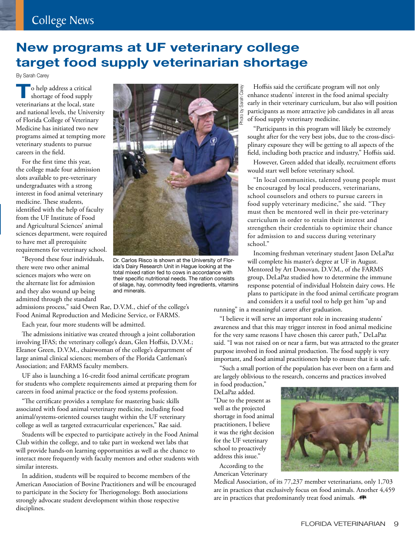# College News

# **New programs at UF veterinary college target food supply veterinarian shortage**

By Sarah Carey

**T**o help address a critical shortage of food supply veterinarians at the local, state and national levels, the University of Florida College of Veterinary Medicine has initiated two new programs aimed at tempting more veterinary students to pursue careers in the field.

For the first time this year, the college made four admission slots available to pre-veterinary undergraduates with a strong interest in food animal veterinary medicine. These students, identified with the help of faculty from the UF Institute of Food and Agricultural Sciences' animal sciences department, were required to have met all prerequisite requirements for veterinary school.

"Beyond these four individuals, there were two other animal sciences majors who were on the alternate list for admission and they also wound up being admitted through the standard



Dr. Carlos Risco is shown at the University of Florida's Dairy Research Unit in Hague looking at the total mixed ration fed to cows in accordance with their specific nutritional needs. The ration consists of silage, hay, commodity feed ingredients, vitamins and minerals.

admissions process," said Owen Rae, D.V.M., chief of the college's Food Animal Reproduction and Medicine Service, or FARMS.

Each year, four more students will be admitted.

The admissions initiative was created through a joint collaboration involving IFAS; the veterinary college's dean, Glen Hoffsis, D.V.M.; Eleanor Green, D.V.M., chairwoman of the college's department of large animal clinical sciences; members of the Florida Cattleman's Association; and FARMS faculty members.

UF also is launching a 16-credit food animal certificate program for students who complete requirements aimed at preparing them for careers in food animal practice or the food systems profession.

"The certificate provides a template for mastering basic skills associated with food animal veterinary medicine, including food animal/systems-oriented courses taught within the UF veterinary college as well as targeted extracurricular experiences," Rae said.

Students will be expected to participate actively in the Food Animal Club within the college, and to take part in weekend wet labs that will provide hands-on learning opportunities as well as the chance to interact more frequently with faculty mentors and other students with similar interests.

In addition, students will be required to become members of the American Association of Bovine Practitioners and will be encouraged to participate in the Society for Theriogenology. Both associations strongly advocate student development within those respective disciplines.

Hoffsis said the certificate program will not only enhance students' interest in the food animal specialty early in their veterinary curriculum, but also will position participants as more attractive job candidates in all areas of food supply veterinary medicine.

"Participants in this program will likely be extremely sought after for the very best jobs, due to the cross-disciplinary exposure they will be getting to all aspects of the field, including both practice and industry," Hoffsis said.

However, Green added that ideally, recruitment efforts would start well before veterinary school.

"In local communities, talented young people must be encouraged by local producers, veterinarians, school counselors and others to pursue careers in food supply veterinary medicine," she said. "They must then be mentored well in their pre-veterinary curriculum in order to retain their interest and strengthen their credentials to optimize their chance for admission to and success during veterinary school."

Incoming freshman veterinary student Jason DeLaPaz will complete his master's degree at UF in August. Mentored by Art Donovan, D.V.M., of the FARMS group, DeLaPaz studied how to determine the immune response potential of individual Holstein dairy cows. He plans to participate in the food animal certificate program and considers it a useful tool to help get him "up and

running" in a meaningful career after graduation.

"I believe it will serve an important role in increasing students' awareness and that this may trigger interest in food animal medicine for the very same reasons I have chosen this career path," DeLaPaz said. "I was not raised on or near a farm, but was attracted to the greater purpose involved in food animal production. The food supply is very important, and food animal practitioners help to ensure that it is safe.

"Such a small portion of the population has ever been on a farm and are largely oblivious to the research, concerns and practices involved

in food production," DeLaPaz added. "Due to the present as well as the projected shortage in food animal practitioners, I believe it was the right decision for the UF veterinary school to proactively address this issue."

According to the American Veterinary



Medical Association, of its 77,237 member veterinarians, only 1,703 are in practices that exclusively focus on food animals. Another 4,459 are in practices that predominantly treat food animals.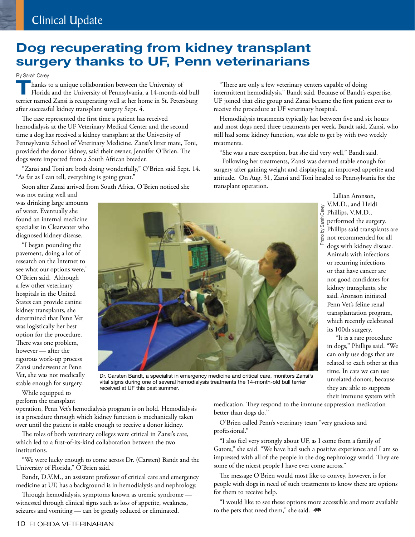## **Dog recuperating from kidney transplant surgery thanks to UF, Penn veterinarians**

### By Sarah Carey

**T**hanks to a unique collaboration between the University of Florida and the University of Pennsylvania, a 14-month-old bull terrier named Zansi is recuperating well at her home in St. Petersburg after successful kidney transplant surgery Sept. 4.

The case represented the first time a patient has received hemodialysis at the UF Veterinary Medical Center and the second time a dog has received a kidney transplant at the University of Pennsylvania School of Veterinary Medicine. Zansi's litter mate, Toni, provided the donor kidney, said their owner, Jennifer O'Brien. The dogs were imported from a South African breeder.

"Zansi and Toni are both doing wonderfully," O'Brien said Sept. 14. "As far as I can tell, everything is going great."

Soon after Zansi arrived from South Africa, O'Brien noticed she

was not eating well and was drinking large amounts of water. Eventually she found an internal medicine specialist in Clearwater who diagnosed kidney disease.

"I began pounding the pavement, doing a lot of research on the Internet to see what our options were," O'Brien said. Although a few other veterinary hospitals in the United States can provide canine kidney transplants, she determined that Penn Vet was logistically her best option for the procedure. There was one problem, however — after the rigorous work-up process Zansi underwent at Penn Vet, she was not medically stable enough for surgery.

While equipped to perform the transplant

"There are only a few veterinary centers capable of doing intermittent hemodialysis," Bandt said. Because of Bandt's expertise, UF joined that elite group and Zansi became the first patient ever to receive the procedure at UF veterinary hospital.

Hemodialysis treatments typically last between five and six hours and most dogs need three treatments per week, Bandt said. Zansi, who still had some kidney function, was able to get by with two weekly treatments.

"She was a rare exception, but she did very well," Bandt said.

 Following her treatments, Zansi was deemed stable enough for surgery after gaining weight and displaying an improved appetite and attitude. On Aug. 31, Zansi and Toni headed to Pennsylvania for the transplant operation.



 "It is a rare procedure in dogs," Phillips said. "We can only use dogs that are related to each other at this time. In cats we can use unrelated donors, because they are able to suppress their immune system with



Dr. Carsten Bandt, a specialist in emergency medicine and critical care, monitors Zansi's vital signs during one of several hemodialysis treatments the 14-month-old bull terrier received at UF this past summer.

operation, Penn Vet's hemodialysis program is on hold. Hemodialysis is a procedure through which kidney function is mechanically taken over until the patient is stable enough to receive a donor kidney.

The roles of both veterinary colleges were critical in Zansi's care, which led to a first-of-its-kind collaboration between the two institutions.

"We were lucky enough to come across Dr. (Carsten) Bandt and the University of Florida," O'Brien said.

Bandt, D.V.M., an assistant professor of critical care and emergency medicine at UF, has a background is in hemodialysis and nephrology.

Through hemodialysis, symptoms known as uremic syndrome witnessed through clinical signs such as loss of appetite, weakness, seizures and vomiting — can be greatly reduced or eliminated.

medication. They respond to the immune suppression medication better than dogs do.''

O'Brien called Penn's veterinary team "very gracious and professional."

"I also feel very strongly about UF, as I come from a family of Gators," she said. "We have had such a positive experience and I am so impressed with all of the people in the dog nephrology world. They are some of the nicest people I have ever come across."

The message O'Brien would most like to convey, however, is for people with dogs in need of such treatments to know there are options for them to receive help.

"I would like to see these options more accessible and more available to the pets that need them," she said. -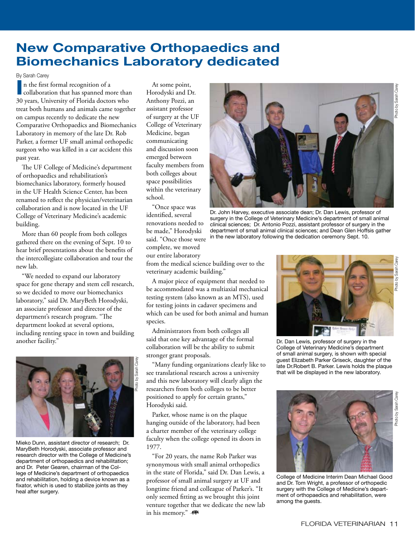### **New Comparative Orthopaedics and Biomechanics Laboratory dedicated**

By Sarah Carey<br> **In** the first<br> **Icollaborat** n the first formal recognition of a collaboration that has spanned more than 30 years, University of Florida doctors who treat both humans and animals came together on campus recently to dedicate the new Comparative Orthopaedics and Biomechanics Laboratory in memory of the late Dr. Rob Parker, a former UF small animal orthopedic surgeon who was killed in a car accident this past year.

The UF College of Medicine's department of orthopaedics and rehabilitation's biomechanics laboratory, formerly housed in the UF Health Science Center, has been renamed to reflect the physician/veterinarian collaboration and is now located in the UF College of Veterinary Medicine's academic building.

More than 60 people from both colleges gathered there on the evening of Sept. 10 to hear brief presentations about the benefits of the intercollegiate collaboration and tour the new lab.

"We needed to expand our laboratory space for gene therapy and stem cell research, so we decided to move our biomechanics laboratory," said Dr. MaryBeth Horodyski, an associate professor and director of the department's research program. "The department looked at several options, including renting space in town and building another facility."



Mieko Dunn, assistant director of research; Dr. MaryBeth Horodyski, associate professor and research director with the College of Medicine's department of orthopaedics and rehabilitation; and Dr. Peter Gearen, chairman of the College of Medicine's department of orthopaedics and rehabilitation, holding a device known as a fixator, which is used to stabilize joints as they heal after surgery.

At some point, Horodyski and Dr. Anthony Pozzi, an assistant professor of surgery at the UF College of Veterinary Medicine, began communicating and discussion soon emerged between faculty members from both colleges about space possibilities within the veterinary school.

"Once space was identified, several renovations needed to be made," Horodyski said. "Once those were complete, we moved our entire laboratory

from the medical science building over to the veterinary academic building."

A major piece of equipment that needed to be accommodated was a multiaxial mechanical testing system (also known as an MTS), used for testing joints in cadaver specimens and which can be used for both animal and human species.

Administrators from both colleges all said that one key advantage of the formal collaboration will be the ability to submit stronger grant proposals.

"Many funding organizations clearly like to see translational research across a university and this new laboratory will clearly align the researchers from both colleges to be better positioned to apply for certain grants," Horodyski said.

Parker, whose name is on the plaque hanging outside of the laboratory, had been a charter member of the veterinary college faculty when the college opened its doors in 1977.

"For 20 years, the name Rob Parker was synonymous with small animal orthopedics in the state of Florida," said Dr. Dan Lewis, a professor of small animal surgery at UF and longtime friend and colleague of Parker's. "It only seemed fitting as we brought this joint venture together that we dedicate the new lab in his memory." -



Dr. John Harvey, executive associate dean; Dr. Dan Lewis, professor of surgery in the College of Veterinary Medicine's department of small animal clinical sciences; Dr. Antonio Pozzi, assistant professor of surgery in the department of small animal clinical sciences; and Dean Glen Hoffsis gather in the new laboratory following the dedication ceremony Sept. 10.



Dr. Dan Lewis, professor of surgery in the College of Veterinary Medicine's department of small animal surgery, is shown with special guest Elizabeth Parker Griseck, daughter of the late Dr.Robert B. Parker. Lewis holds the plaque that will be displayed in the new laboratory.



College of Medicine Interim Dean Michael Good and Dr. Tom Wright, a professor of orthopedic surgery with the College of Medicine's department of orthopaedics and rehabilitation, were among the guests.